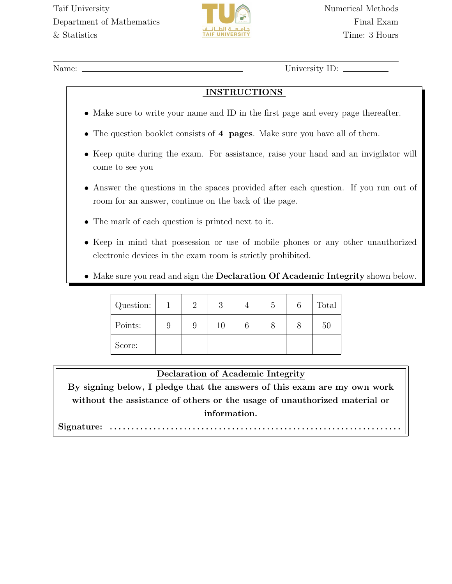

Name: University ID: \_

## INSTRUCTIONS

- Make sure to write your name and ID in the first page and every page thereafter.
- The question booklet consists of 4 pages. Make sure you have all of them.
- Keep quite during the exam. For assistance, raise your hand and an invigilator will come to see you
- Answer the questions in the spaces provided after each question. If you run out of room for an answer, continue on the back of the page.
- The mark of each question is printed next to it.
- Keep in mind that possession or use of mobile phones or any other unauthorized electronic devices in the exam room is strictly prohibited.
- Make sure you read and sign the **Declaration Of Academic Integrity** shown below.

| Question: | $\Omega$ | റ<br>ಲ | $\mathcal{O}$ | Total |
|-----------|----------|--------|---------------|-------|
| Points:   | 9        | 10     |               | 50    |
| Score:    |          |        |               |       |

## Declaration of Academic Integrity

By signing below, I pledge that the answers of this exam are my own work without the assistance of others or the usage of unauthorized material or information.

Signature: . . . . . . . . . . . . . . . . . . . . . . . . . . . . . . . . . . . . . . . . . . . . . . . . . . . . . . . . . . . . . . . . . . .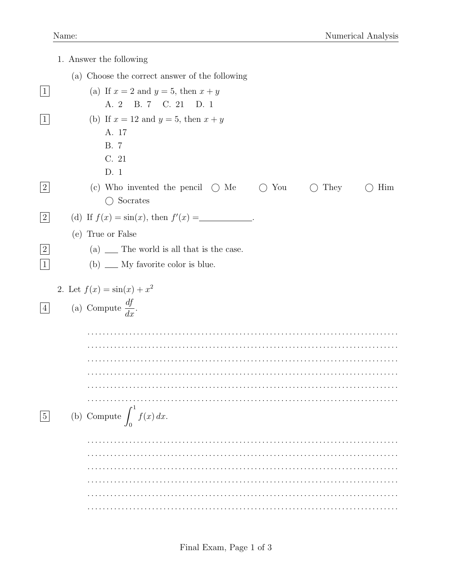|                               | 1. Answer the following                                                              |
|-------------------------------|--------------------------------------------------------------------------------------|
|                               | (a) Choose the correct answer of the following                                       |
| $\vert 1 \vert$               | (a) If $x = 2$ and $y = 5$ , then $x + y$<br>A. 2 B. 7 C. 21 D. 1                    |
| $\mathbf{1}$                  | (b) If $x = 12$ and $y = 5$ , then $x + y$<br>A. 17<br><b>B.</b> 7<br>C. 21<br>D. 1  |
| $\overline{2}$                | (c) Who invented the pencil $\bigcirc$ Me<br>You<br>They<br>Him<br>Socrates<br>$($ ) |
| 2                             | (d) If $f(x) = \sin(x)$ , then $f'(x) =$                                             |
|                               | (e) True or False                                                                    |
| $\overline{2}$<br>$\mathbf 1$ | $(a)$ __ The world is all that is the case.<br>$(b) \_\_$ My favorite color is blue. |
|                               | 2. Let $f(x) = \sin(x) + x^2$                                                        |
| $\overline{4}$                | (a) Compute $\frac{df}{dx}$ .                                                        |
|                               |                                                                                      |
|                               |                                                                                      |
|                               |                                                                                      |
|                               |                                                                                      |
|                               |                                                                                      |
| $\bf 5$                       | (b) Compute $\int_0^1 f(x) dx$ .                                                     |
|                               |                                                                                      |
|                               |                                                                                      |
|                               |                                                                                      |
|                               |                                                                                      |
|                               |                                                                                      |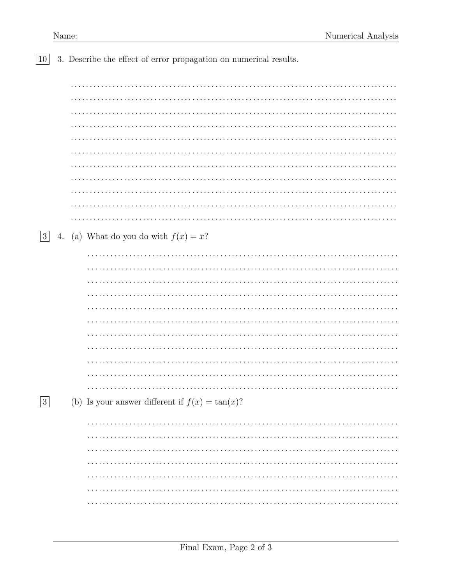|  |  |  |  |  | $\boxed{10}$ 3. Describe the effect of error propagation on numerical results. |  |  |  |
|--|--|--|--|--|--------------------------------------------------------------------------------|--|--|--|
|--|--|--|--|--|--------------------------------------------------------------------------------|--|--|--|

| 3          | 4. (a) What do you do with $f(x) = x$ ?            |  |
|------------|----------------------------------------------------|--|
|            |                                                    |  |
|            |                                                    |  |
|            |                                                    |  |
|            |                                                    |  |
|            |                                                    |  |
|            |                                                    |  |
|            |                                                    |  |
|            |                                                    |  |
|            |                                                    |  |
|            |                                                    |  |
|            |                                                    |  |
|            |                                                    |  |
| $\sqrt{3}$ | (b) Is your answer different if $f(x) = \tan(x)$ ? |  |
|            |                                                    |  |
|            |                                                    |  |
|            |                                                    |  |
|            |                                                    |  |
|            |                                                    |  |
|            |                                                    |  |
|            |                                                    |  |